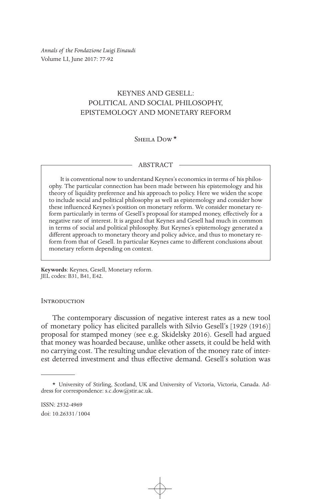*Annals of the Fondazione Luigi Einaudi* Volume LI, June 2017: 77-92

# KEYNES AND GESELL: POLITICAL AND SOCIAL PHILOSOPHY, EPISTEMOLOGY AND MONETARY REFORM

# SHEILA Dow<sup>\*</sup>

## ABSTRACT

It is conventional now to understand Keynes's economics in terms of his philosophy. The particular connection has been made between his epistemology and his theory of liquidity preference and his approach to policy. Here we widen the scope to include social and political philosophy as well as epistemology and consider how these influenced Keynes's position on monetary reform. We consider monetary reform particularly in terms of Gesell's proposal for stamped money, effectively for a negative rate of interest. It is argued that Keynes and Gesell had much in common in terms of social and political philosophy. But Keynes's epistemology generated a different approach to monetary theory and policy advice, and thus to monetary reform from that of Gesell. In particular Keynes came to different conclusions about monetary reform depending on context.

**Keywords**: Keynes, Gesell, Monetary reform. JEL codes: B31, B41, E42.

#### **INTRODUCTION**

The contemporary discussion of negative interest rates as a new tool of monetary policy has elicited parallels with Silvio Gesell's [1929 (1916)] proposal for stamped money (see e.g. Skidelsky 2016). Gesell had argued that money was hoarded because, unlike other assets, it could be held with no carrying cost. The resulting undue elevation of the money rate of interest deterred investment and thus effective demand. Gesell's solution was

<sup>\*</sup> University of Stirling, Scotland, UK and University of Victoria, Victoria, Canada. Address for correspondence: s.c.dow@stir.ac.uk.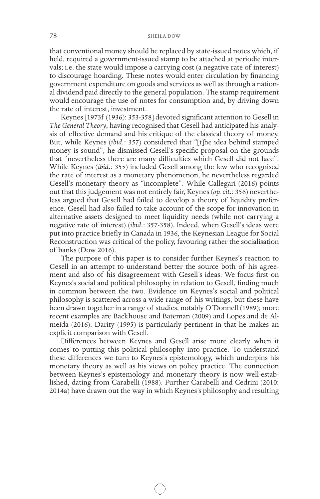that conventional money should be replaced by state-issued notes which, if held, required a government-issued stamp to be attached at periodic intervals; i.e. the state would impose a carrying cost (a negative rate of interest) to discourage hoarding. These notes would enter circulation by financing government expenditure on goods and services as well as through a national dividend paid directly to the general population. The stamp requirement would encourage the use of notes for consumption and, by driving down the rate of interest, investment.

Keynes [1973f (1936): 353-358] devoted significant attention to Gesell in *The General Theory*, having recognised that Gesell had anticipated his analysis of effective demand and his critique of the classical theory of money. But, while Keynes (*ibid.*: 357) considered that "[t]he idea behind stamped money is sound", he dismissed Gesell's specific proposal on the grounds that "nevertheless there are many difficulties which Gesell did not face". While Keynes (*ibid.*: 355) included Gesell among the few who recognised the rate of interest as a monetary phenomenon, he nevertheless regarded Gesell's monetary theory as "incomplete". While Callegari (2016) points out that this judgement was not entirely fair, Keynes (*op. cit.*: 356) nevertheless argued that Gesell had failed to develop a theory of liquidity preference. Gesell had also failed to take account of the scope for innovation in alternative assets designed to meet liquidity needs (while not carrying a negative rate of interest) (*ibid.*: 357-358). Indeed, when Gesell's ideas were put into practice briefly in Canada in 1936, the Keynesian League for Social Reconstruction was critical of the policy, favouring rather the socialisation of banks (Dow 2016).

The purpose of this paper is to consider further Keynes's reaction to Gesell in an attempt to understand better the source both of his agreement and also of his disagreement with Gesell's ideas. We focus first on Keynes's social and political philosophy in relation to Gesell, finding much in common between the two. Evidence on Keynes's social and political philosophy is scattered across a wide range of his writings, but these have been drawn together in a range of studies, notably O'Donnell (1989); more recent examples are Backhouse and Bateman (2009) and Lopes and de Almeida (2016). Darity (1995) is particularly pertinent in that he makes an explicit comparison with Gesell.

Differences between Keynes and Gesell arise more clearly when it comes to putting this political philosophy into practice. To understand these differences we turn to Keynes's epistemology, which underpins his monetary theory as well as his views on policy practice. The connection between Keynes's epistemology and monetary theory is now well-established, dating from Carabelli (1988). Further Carabelli and Cedrini (2010: 2014a) have drawn out the way in which Keynes's philosophy and resulting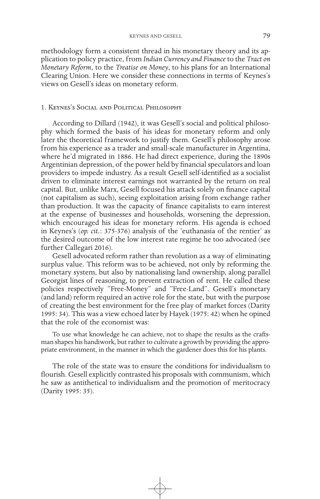methodology form a consistent thread in his monetary theory and its application to policy practice, from *Indian Currency and Finance* to the *Tract on Monetary Reform*, to the *Treatise on Money*, to his plans for an International Clearing Union. Here we consider these connections in terms of Keynes's views on Gesell's ideas on monetary reform.

#### 1. Keynes's Social and Political Philosophy

According to Dillard (1942), it was Gesell's social and political philosophy which formed the basis of his ideas for monetary reform and only later the theoretical framework to justify them. Gesell's philosophy arose from his experience as a trader and small-scale manufacturer in Argentina, where he'd migrated in 1886. He had direct experience, during the 1890s Argentinian depression, of the power held by financial speculators and loan providers to impede industry. As a result Gesell self-identified as a socialist driven to eliminate interest earnings not warranted by the return on real capital. But, unlike Marx, Gesell focused his attack solely on finance capital (not capitalism as such), seeing exploitation arising from exchange rather than production. It was the capacity of finance capitalists to earn interest at the expense of businesses and households, worsening the depression, which encouraged his ideas for monetary reform. His agenda is echoed in Keynes's (*op. cit.*: 375-376) analysis of the 'euthanasia of the rentier' as the desired outcome of the low interest rate regime he too advocated (see further Callegari 2016).

Gesell advocated reform rather than revolution as a way of eliminating surplus value. This reform was to be achieved, not only by reforming the monetary system, but also by nationalising land ownership, along parallel Georgist lines of reasoning, to prevent extraction of rent. He called these policies respectively "Free-Money" and "Free-Land". Gesell's monetary (and land) reform required an active role for the state, but with the purpose of creating the best environment for the free play of market forces (Darity 1995: 34). This was a view echoed later by Hayek (1975: 42) when he opined that the role of the economist was:

To use what knowledge he can achieve, not to shape the results as the craftsman shapes his handiwork, but rather to cultivate a growth by providing the appropriate environment, in the manner in which the gardener does this for his plants.

The role of the state was to ensure the conditions for individualism to flourish. Gesell explicitly contrasted his proposals with communism, which he saw as antithetical to individualism and the promotion of meritocracy (Darity 1995: 35).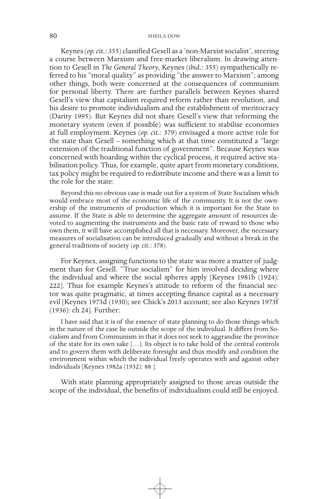Keynes (*op. cit.*: 355) classified Gesell as a 'non-Marxist socialist', steering a course between Marxism and free-market liberalism. In drawing attention to Gesell in *The General Theory*, Keynes (*ibid.*: 355) sympathetically referred to his "moral quality" as providing "the answer to Marxism"; among other things, both were concerned at the consequences of communism for personal liberty. There are further parallels between Keynes shared Gesell's view that capitalism required reform rather than revolution, and his desire to promote individualism and the establishment of meritocracy (Darity 1995). But Keynes did not share Gesell's view that reforming the monetary system (even if possible) was sufficient to stabilise economies at full employment. Keynes (*op. cit.*: 379) envisaged a more active role for the state than Gesell – something which at that time constituted a "large extension of the traditional function of government". Because Keynes was concerned with hoarding within the cyclical process, it required active stabilisation policy. Thus, for example, quite apart from monetary conditions, tax policy might be required to redistribute income and there was a limit to the role for the state:

Beyond this no obvious case is made out for a system of State Socialism which would embrace most of the economic life of the community. It is not the ownership of the instruments of production which it is important for the State to assume. If the State is able to determine the aggregate amount of resources devoted to augmenting the instruments and the basic rate of reward to those who own them, it will have accomplished all that is necessary. Moreover, the necessary measures of socialisation can be introduced gradually and without a break in the general traditions of society (*op. cit.*: 378).

For Keynes, assigning functions to the state was more a matter of judgment than for Gesell. "True socialism" for him involved deciding where the individual and where the social spheres apply [Keynes 1981b (1924): 222]. Thus for example Keynes's attitude to reform of the financial sector was quite pragmatic, at times accepting finance capital as a necessary evil [Keynes 1973d (1930); see Chick's 2013 account; see also Keynes 1973f (1936): ch 24]. Further:

I have said that it is of the essence of state planning to do those things which in the nature of the case lie outside the scope of the individual. It differs from Socialism and from Communism in that it does not seek to aggrandise the province of the state for its own sake […]. Its object is to take hold of the central controls and to govern them with deliberate foresight and thus modify and condition the environment within which the individual freely operates with and against other individuals [Keynes 1982a (1932): 88 ].

With state planning appropriately assigned to those areas outside the scope of the individual, the benefits of individualism could still be enjoyed.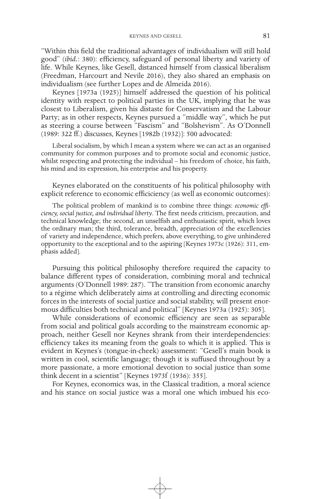"Within this field the traditional advantages of individualism will still hold good" (*ibid.*: 380): efficiency, safeguard of personal liberty and variety of life. While Keynes, like Gesell, distanced himself from classical liberalism (Freedman, Harcourt and Nevile 2016), they also shared an emphasis on individualism (see further Lopes and de Almeida 2016).

Keynes [1973a (1925)] himself addressed the question of his political identity with respect to political parties in the UK, implying that he was closest to Liberalism, given his distaste for Conservatism and the Labour Party; as in other respects, Keynes pursued a "middle way", which he put as steering a course between "Fascism" and "Bolshevism". As O'Donnell (1989: 322 ff.) discusses, Keynes [1982b (1932)]: 500 advocated:

Liberal socialism, by which I mean a system where we can act as an organised community for common purposes and to promote social and economic justice, whilst respecting and protecting the individual – his freedom of choice, his faith, his mind and its expression, his enterprise and his property.

Keynes elaborated on the constituents of his political philosophy with explicit reference to economic efficiciency (as well as economic outcomes):

The political problem of mankind is to combine three things: *economic efficiency, social justice, and individual liberty*. The first needs criticism, precaution, and technical knowledge; the second, an unselfish and enthusiastic spirit, which loves the ordinary man; the third, tolerance, breadth, appreciation of the excellencies of variety and independence, which prefers, above everything, to give unhindered opportunity to the exceptional and to the aspiring [Keynes 1973c (1926): 311, emphasis added].

Pursuing this political philosophy therefore required the capacity to balance different types of consideration, combining moral and technical arguments (O'Donnell 1989: 287). "The transition from economic anarchy to a régime which deliberately aims at controlling and directing economic forces in the interests of social justice and social stability, will present enormous difficulties both technical and political" [Keynes 1973a (1925): 305].

While considerations of economic efficiency are seen as separable from social and political goals according to the mainstream economic approach, neither Gesell nor Keynes shrank from their interdependencies: efficiency takes its meaning from the goals to which it is applied. This is evident in Keynes's (tongue-in-cheek) assessment: "Gesell's main book is written in cool, scientific language; though it is suffused throughout by a more passionate, a more emotional devotion to social justice than some think decent in a scientist" [Keynes 1973f (1936): 355].

For Keynes, economics was, in the Classical tradition, a moral science and his stance on social justice was a moral one which imbued his eco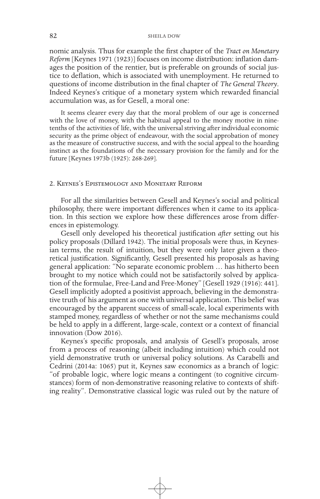nomic analysis. Thus for example the first chapter of the *Tract on Monetary Reform* [Keynes 1971 (1923)] focuses on income distribution: inflation damages the position of the rentier, but is preferable on grounds of social justice to deflation, which is associated with unemployment. He returned to questions of income distribution in the final chapter of *The General Theory*. Indeed Keynes's critique of a monetary system which rewarded financial accumulation was, as for Gesell, a moral one:

It seems clearer every day that the moral problem of our age is concerned with the love of money, with the habitual appeal to the money motive in ninetenths of the activities of life, with the universal striving after individual economic security as the prime object of endeavour, with the social approbation of money as the measure of constructive success, and with the social appeal to the hoarding instinct as the foundations of the necessary provision for the family and for the future [Keynes 1973b (1925): 268-269].

#### 2. Keynes's Epistemology and Monetary Reform

For all the similarities between Gesell and Keynes's social and political philosophy, there were important differences when it came to its application. In this section we explore how these differences arose from differences in epistemology.

Gesell only developed his theoretical justification *after* setting out his policy proposals (Dillard 1942). The initial proposals were thus, in Keynesian terms, the result of intuition, but they were only later given a theoretical justification. Significantly, Gesell presented his proposals as having general application: "No separate economic problem … has hitherto been brought to my notice which could not be satisfactorily solved by application of the formulae, Free-Land and Free-Money" [Gesell 1929 (1916): 441]. Gesell implicitly adopted a positivist approach, believing in the demonstrative truth of his argument as one with universal application. This belief was encouraged by the apparent success of small-scale, local experiments with stamped money, regardless of whether or not the same mechanisms could be held to apply in a different, large-scale, context or a context of financial innovation (Dow 2016).

Keynes's specific proposals, and analysis of Gesell's proposals, arose from a process of reasoning (albeit including intuition) which could not yield demonstrative truth or universal policy solutions. As Carabelli and Cedrini (2014a: 1065) put it, Keynes saw economics as a branch of logic: "of probable logic, where logic means a contingent (to cognitive circumstances) form of non-demonstrative reasoning relative to contexts of shifting reality". Demonstrative classical logic was ruled out by the nature of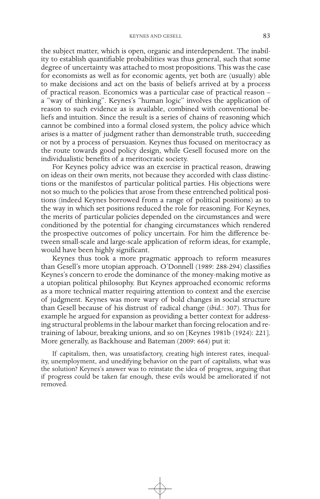the subject matter, which is open, organic and interdependent. The inability to establish quantifiable probabilities was thus general, such that some degree of uncertainty was attached to most propositions. This was the case for economists as well as for economic agents, yet both are (usually) able to make decisions and act on the basis of beliefs arrived at by a process of practical reason. Economics was a particular case of practical reason – a "way of thinking". Keynes's "human logic" involves the application of reason to such evidence as is available, combined with conventional beliefs and intuition. Since the result is a series of chains of reasoning which cannot be combined into a formal closed system, the policy advice which arises is a matter of judgment rather than demonstrable truth, succeeding or not by a process of persuasion. Keynes thus focused on meritocracy as the route towards good policy design, while Gesell focused more on the individualistic benefits of a meritocratic society.

For Keynes policy advice was an exercise in practical reason, drawing on ideas on their own merits, not because they accorded with class distinctions or the manifestos of particular political parties. His objections were not so much to the policies that arose from these entrenched political positions (indeed Keynes borrowed from a range of political positions) as to the way in which set positions reduced the role for reasoning. For Keynes, the merits of particular policies depended on the circumstances and were conditioned by the potential for changing circumstances which rendered the prospective outcomes of policy uncertain. For him the difference between small-scale and large-scale application of reform ideas, for example, would have been highly significant.

Keynes thus took a more pragmatic approach to reform measures than Gesell's more utopian approach. O'Donnell (1989: 288-294) classifies Keynes's concern to erode the dominance of the money-making motive as a utopian political philosophy. But Keynes approached economic reforms as a more technical matter requiring attention to context and the exercise of judgment. Keynes was more wary of bold changes in social structure than Gesell because of his distrust of radical change (*ibid.*: 307). Thus for example he argued for expansion as providing a better context for addressing structural problems in the labour market than forcing relocation and retraining of labour, breaking unions, and so on [Keynes 1981b (1924): 221]. More generally, as Backhouse and Bateman (2009: 664) put it:

If capitalism, then, was unsatisfactory, creating high interest rates, inequality, unemployment, and unedifying behavior on the part of capitalists, what was the solution? Keynes's answer was to reinstate the idea of progress, arguing that if progress could be taken far enough, these evils would be ameliorated if not removed.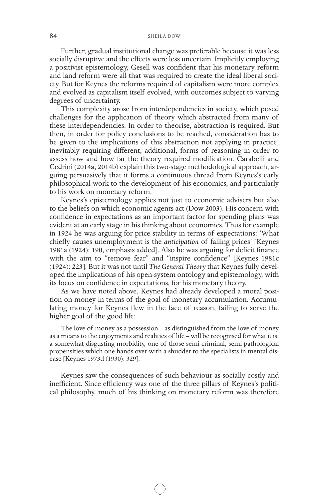Further, gradual institutional change was preferable because it was less socially disruptive and the effects were less uncertain. Implicitly employing a positivist epistemology, Gesell was confident that his monetary reform and land reform were all that was required to create the ideal liberal society. But for Keynes the reforms required of capitalism were more complex and evolved as capitalism itself evolved, with outcomes subject to varying degrees of uncertainty.

This complexity arose from interdependencies in society, which posed challenges for the application of theory which abstracted from many of these interdependencies. In order to theorise, abstraction is required. But then, in order for policy conclusions to be reached, consideration has to be given to the implications of this abstraction not applying in practice, inevitably requiring different, additional, forms of reasoning in order to assess how and how far the theory required modification. Carabelli and Cedrini (2014a, 2014b) explain this two-stage methodological approach, arguing persuasively that it forms a continuous thread from Keynes's early philosophical work to the development of his economics, and particularly to his work on monetary reform.

Keynes's epistemology applies not just to economic advisers but also to the beliefs on which economic agents act (Dow 2003). His concern with confidence in expectations as an important factor for spending plans was evident at an early stage in his thinking about economics. Thus for example in 1924 he was arguing for price stability in terms of expectations: 'What chiefly causes unemployment is the *anticipation* of falling prices' [Keynes 1981a (1924): 190, emphasis added]. Also he was arguing for deficit finance with the aim to "remove fear" and "inspire confidence" [Keynes 1981c (1924): 223]. But it was not until *The General Theory* that Keynes fully developed the implications of his open-system ontology and epistemology, with its focus on confidence in expectations, for his monetary theory.

As we have noted above, Keynes had already developed a moral position on money in terms of the goal of monetary accumulation. Accumulating money for Keynes flew in the face of reason, failing to serve the higher goal of the good life:

The love of money as a possession – as distinguished from the love of money as a means to the enjoyments and realities of life – will be recognised for what it is, a somewhat disgusting morbidity, one of those semi-criminal, semi-pathological propensities which one hands over with a shudder to the specialists in mental disease [Keynes 1973d (1930): 329].

Keynes saw the consequences of such behaviour as socially costly and inefficient. Since efficiency was one of the three pillars of Keynes's political philosophy, much of his thinking on monetary reform was therefore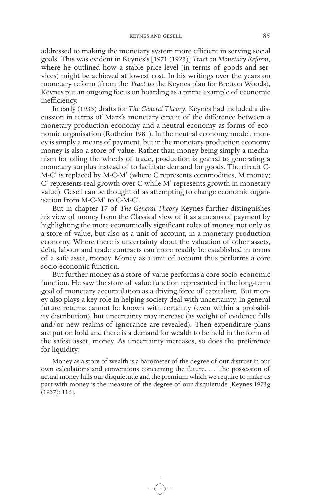addressed to making the monetary system more efficient in serving social goals. This was evident in Keynes's [1971 (1923)] *Tract on Monetary Reform*, where he outlined how a stable price level (in terms of goods and services) might be achieved at lowest cost. In his writings over the years on monetary reform (from the *Tract* to the Keynes plan for Bretton Woods), Keynes put an ongoing focus on hoarding as a prime example of economic inefficiency.

In early (1933) drafts for *The General Theory*, Keynes had included a discussion in terms of Marx's monetary circuit of the difference between a monetary production economy and a neutral economy as forms of economic organisation (Rotheim 1981). In the neutral economy model, money is simply a means of payment, but in the monetary production economy money is also a store of value. Rather than money being simply a mechanism for oiling the wheels of trade, production is geared to generating a monetary surplus instead of to facilitate demand for goods. The circuit C-M-C' is replaced by M-C-M' (where C represents commodities, M money; C' represents real growth over C while M' represents growth in monetary value). Gesell can be thought of as attempting to change economic organisation from M-C-M' to C-M-C'.

But in chapter 17 of *The General Theory* Keynes further distinguishes his view of money from the Classical view of it as a means of payment by highlighting the more economically significant roles of money, not only as a store of value, but also as a unit of account, in a monetary production economy. Where there is uncertainty about the valuation of other assets, debt, labour and trade contracts can more readily be established in terms of a safe asset, money. Money as a unit of account thus performs a core socio-economic function.

But further money as a store of value performs a core socio-economic function. He saw the store of value function represented in the long-term goal of monetary accumulation as a driving force of capitalism. But money also plays a key role in helping society deal with uncertainty. In general future returns cannot be known with certainty (even within a probability distribution), but uncertainty may increase (as weight of evidence falls and/or new realms of ignorance are revealed). Then expenditure plans are put on hold and there is a demand for wealth to be held in the form of the safest asset, money. As uncertainty increases, so does the preference for liquidity:

Money as a store of wealth is a barometer of the degree of our distrust in our own calculations and conventions concerning the future. … The possession of actual money lulls our disquietude and the premium which we require to make us part with money is the measure of the degree of our disquietude [Keynes 1973g (1937): 116].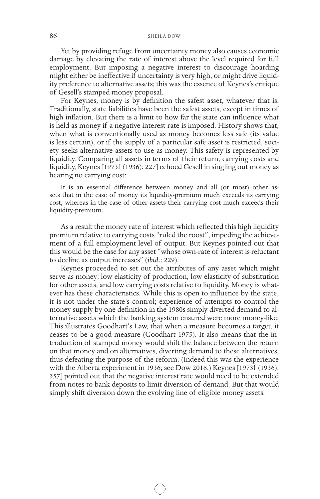Yet by providing refuge from uncertainty money also causes economic damage by elevating the rate of interest above the level required for full employment. But imposing a negative interest to discourage hoarding might either be ineffective if uncertainty is very high, or might drive liquidity preference to alternative assets; this was the essence of Keynes's critique of Gesell's stamped money proposal.

For Keynes, money is by definition the safest asset, whatever that is. Traditionally, state liabilities have been the safest assets, except in times of high inflation. But there is a limit to how far the state can influence what is held as money if a negative interest rate is imposed. History shows that, when what is conventionally used as money becomes less safe (its value is less certain), or if the supply of a particular safe asset is restricted, society seeks alternative assets to use as money. This safety is represented by liquidity. Comparing all assets in terms of their return, carrying costs and liquidity, Keynes [1973f (1936): 227] echoed Gesell in singling out money as bearing no carrying cost:

It is an essential difference between money and all (or most) other assets that in the case of money its liquidity-premium much exceeds its carrying cost, whereas in the case of other assets their carrying cost much exceeds their liquidity-premium.

As a result the money rate of interest which reflected this high liquidity premium relative to carrying costs "ruled the roost", impeding the achievement of a full employment level of output. But Keynes pointed out that this would be the case for any asset "whose own-rate of interest is reluctant to decline as output increases" (*ibid.*: 229).

Keynes proceeded to set out the attributes of any asset which might serve as money: low elasticity of production, low elasticity of substitution for other assets, and low carrying costs relative to liquidity. Money is whatever has these characteristics. While this is open to influence by the state, it is not under the state's control; experience of attempts to control the money supply by one definition in the 1980s simply diverted demand to alternative assets which the banking system ensured were more money-like. This illustrates Goodhart's Law, that when a measure becomes a target, it ceases to be a good measure (Goodhart 1975). It also means that the introduction of stamped money would shift the balance between the return on that money and on alternatives, diverting demand to these alternatives, thus defeating the purpose of the reform. (Indeed this was the experience with the Alberta experiment in 1936; see Dow 2016.) Keynes [1973f (1936): 357] pointed out that the negative interest rate would need to be extended from notes to bank deposits to limit diversion of demand. But that would simply shift diversion down the evolving line of eligible money assets.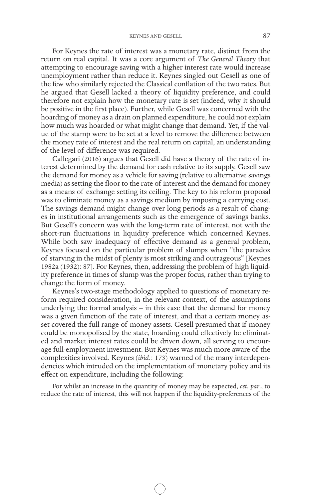For Keynes the rate of interest was a monetary rate, distinct from the return on real capital. It was a core argument of *The General Theory* that attempting to encourage saving with a higher interest rate would increase unemployment rather than reduce it. Keynes singled out Gesell as one of the few who similarly rejected the Classical conflation of the two rates. But he argued that Gesell lacked a theory of liquidity preference, and could therefore not explain how the monetary rate is set (indeed, why it should be positive in the first place). Further, while Gesell was concerned with the hoarding of money as a drain on planned expenditure, he could not explain how much was hoarded or what might change that demand. Yet, if the value of the stamp were to be set at a level to remove the difference between the money rate of interest and the real return on capital, an understanding of the level of difference was required.

Callegari (2016) argues that Gesell did have a theory of the rate of interest determined by the demand for cash relative to its supply. Gesell saw the demand for money as a vehicle for saving (relative to alternative savings media) as setting the floor to the rate of interest and the demand for money as a means of exchange setting its ceiling. The key to his reform proposal was to eliminate money as a savings medium by imposing a carrying cost. The savings demand might change over long periods as a result of changes in institutional arrangements such as the emergence of savings banks. But Gesell's concern was with the long-term rate of interest, not with the short-run fluctuations in liquidity preference which concerned Keynes. While both saw inadequacy of effective demand as a general problem, Keynes focused on the particular problem of slumps when "the paradox of starving in the midst of plenty is most striking and outrageous" [Keynes 1982a (1932): 87]. For Keynes, then, addressing the problem of high liquidity preference in times of slump was the proper focus, rather than trying to change the form of money.

Keynes's two-stage methodology applied to questions of monetary reform required consideration, in the relevant context, of the assumptions underlying the formal analysis – in this case that the demand for money was a given function of the rate of interest, and that a certain money asset covered the full range of money assets. Gesell presumed that if money could be monopolised by the state, hoarding could effectively be eliminated and market interest rates could be driven down, all serving to encourage full-employment investment. But Keynes was much more aware of the complexities involved. Keynes (*ibid.*: 173) warned of the many interdependencies which intruded on the implementation of monetary policy and its effect on expenditure, including the following:

For whilst an increase in the quantity of money may be expected, *cet. par*., to reduce the rate of interest, this will not happen if the liquidity-preferences of the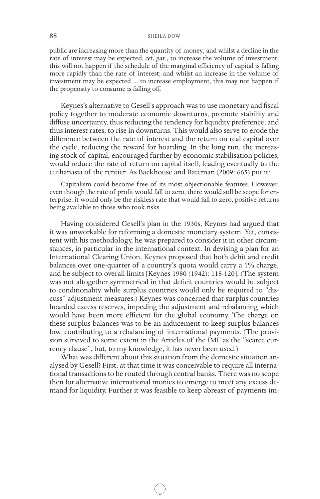#### 88 SHEILA DOW

public are increasing more than the quantity of money; and whilst a decline in the rate of interest may be expected, *cet. par*., to increase the volume of investment, this will not happen if the schedule of the marginal efficiency of capital is falling more rapidly than the rate of interest; and whilst an increase in the volume of investment may be expected ... to increase employment, this may not happen if the propensity to consume is falling off.

Keynes's alternative to Gesell's approach was to use monetary and fiscal policy together to moderate economic downturns, promote stability and diffuse uncertainty, thus reducing the tendency for liquidity preference, and thus interest rates, to rise in downturns. This would also serve to erode the difference between the rate of interest and the return on real capital over the cycle, reducing the reward for hoarding. In the long run, the increasing stock of capital, encouraged further by economic stabilisation policies, would reduce the rate of return on capital itself, leading eventually to the euthanasia of the rentier. As Backhouse and Bateman (2009: 665) put it:

Capitalism could become free of its most objectionable features. However, even though the rate of profit would fall to zero, there would still be scope for enterprise: it would only be the riskless rate that would fall to zero, positive returns being available to those who took risks.

Having considered Gesell's plan in the 1930s, Keynes had argued that it was unworkable for reforming a domestic monetary system. Yet, consistent with his methodology, he was prepared to consider it in other circumstances, in particular in the international context. In devising a plan for an International Clearing Union, Keynes proposed that both debit and credit balances over one-quarter of a country's quota would carry a 1% charge, and be subject to overall limits [Keynes 1980 (1942): 118-120]. (The system was not altogether symmetrical in that deficit countries would be subject to conditionality while surplus countries would only be required to "discuss" adjustment measures.) Keynes was concerned that surplus countries hoarded excess reserves, impeding the adjustment and rebalancing which would have been more efficient for the global economy. The charge on these surplus balances was to be an inducement to keep surplus balances low, contributing to a rebalancing of international payments. (The provision survived to some extent in the Articles of the IMF as the "scarce currency clause", but, to my knowledge, it has never been used.)

What was different about this situation from the domestic situation analysed by Gesell? First, at that time it was conceivable to require all international transactions to be routed through central banks. There was no scope then for alternative international monies to emerge to meet any excess demand for liquidity. Further it was feasible to keep abreast of payments im-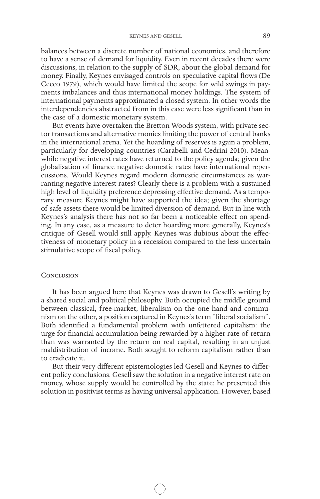balances between a discrete number of national economies, and therefore to have a sense of demand for liquidity. Even in recent decades there were discussions, in relation to the supply of SDR, about the global demand for money. Finally, Keynes envisaged controls on speculative capital flows (De Cecco 1979), which would have limited the scope for wild swings in payments imbalances and thus international money holdings. The system of international payments approximated a closed system. In other words the interdependencies abstracted from in this case were less significant than in the case of a domestic monetary system.

But events have overtaken the Bretton Woods system, with private sector transactions and alternative monies limiting the power of central banks in the international arena. Yet the hoarding of reserves is again a problem, particularly for developing countries (Carabelli and Cedrini 2010). Meanwhile negative interest rates have returned to the policy agenda; given the globalisation of finance negative domestic rates have international repercussions. Would Keynes regard modern domestic circumstances as warranting negative interest rates? Clearly there is a problem with a sustained high level of liquidity preference depressing effective demand. As a temporary measure Keynes might have supported the idea; given the shortage of safe assets there would be limited diversion of demand. But in line with Keynes's analysis there has not so far been a noticeable effect on spending. In any case, as a measure to deter hoarding more generally, Keynes's critique of Gesell would still apply. Keynes was dubious about the effectiveness of monetary policy in a recession compared to the less uncertain stimulative scope of fiscal policy.

#### **CONCLUSION**

It has been argued here that Keynes was drawn to Gesell's writing by a shared social and political philosophy. Both occupied the middle ground between classical, free-market, liberalism on the one hand and communism on the other, a position captured in Keynes's term "liberal socialism". Both identified a fundamental problem with unfettered capitalism: the urge for financial accumulation being rewarded by a higher rate of return than was warranted by the return on real capital, resulting in an unjust maldistribution of income. Both sought to reform capitalism rather than to eradicate it.

But their very different epistemologies led Gesell and Keynes to different policy conclusions. Gesell saw the solution in a negative interest rate on money, whose supply would be controlled by the state; he presented this solution in positivist terms as having universal application. However, based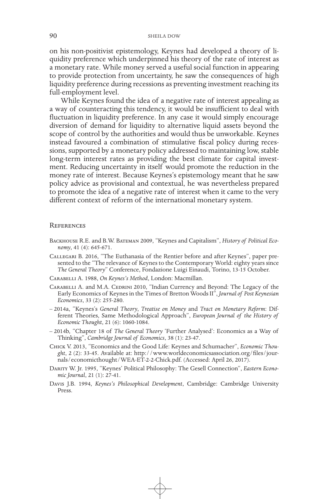on his non-positivist epistemology, Keynes had developed a theory of liquidity preference which underpinned his theory of the rate of interest as a monetary rate. While money served a useful social function in appearing to provide protection from uncertainty, he saw the consequences of high liquidity preference during recessions as preventing investment reaching its full-employment level.

While Keynes found the idea of a negative rate of interest appealing as a way of counteracting this tendency, it would be insufficient to deal with fluctuation in liquidity preference. In any case it would simply encourage diversion of demand for liquidity to alternative liquid assets beyond the scope of control by the authorities and would thus be unworkable. Keynes instead favoured a combination of stimulative fiscal policy during recessions, supported by a monetary policy addressed to maintaining low, stable long-term interest rates as providing the best climate for capital investment. Reducing uncertainty in itself would promote the reduction in the money rate of interest. Because Keynes's epistemology meant that he saw policy advice as provisional and contextual, he was nevertheless prepared to promote the idea of a negative rate of interest when it came to the very different context of reform of the international monetary system.

#### **REFERENCES**

- Backhouse R.E. and B.W. Bateman 2009, "Keynes and Capitalism", *History of Political Economy*, 41 (4): 645-671.
- Callegari B. 2016, "The Euthanasia of the Rentier before and after Keynes", paper presented to the "The relevance of Keynes to the Contemporary World: eighty years since *The General Theory*" Conference, Fondazione Luigi Einaudi, Torino, 13-15 October.
- Carabelli A. 1988, *On Keynes's Method*, London: Macmillan.
- CARABELLI A. and M.A. CEDRINI 2010, "Indian Currency and Beyond: The Legacy of the Early Economics of Keynes in the Times of Bretton Woods II", *Journal of Post Keynesian Economics*, 33 (2): 255-280.
- 2014a, "Keynes's *General Theory*, *Treatise on Money* and *Tract on Monetary Reform*: Different Theories, Same Methodological Approach", *European Journal of the History of Economic Thought*, 21 (6): 1060-1084.
- 2014b, "Chapter 18 of *The General Theory* 'Further Analysed': Economics as a Way of Thinking", *Cambridge Journal of Economics*, 38 (1): 23-47.
- Chick V. 2013, "Economics and the Good Life: Keynes and Schumacher", *Economic Thought*, 2 (2): 33-45. Available at: http://www.worldeconomicsassociation.org/files/journals/economicthought/WEA-ET-2-2-Chick.pdf. (Accessed: April 26, 2017).
- DARITY W. Jr. 1995, "Keynes' Political Philosophy: The Gesell Connection", *Eastern Economic Journal*, 21 (1): 27-41.
- Davis J.B. 1994, *Keynes's Philosophical Development*, Cambridge: Cambridge University Press.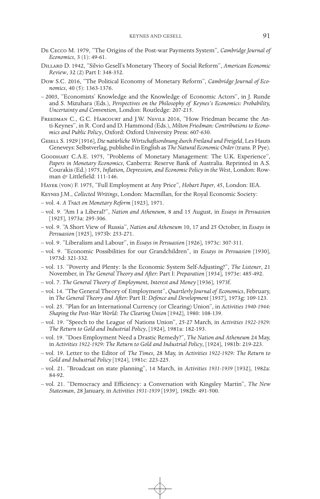- De Cecco M. 1979, "The Origins of the Post-war Payments System", *Cambridge Journal of Economics*, 3 (1): 49-61.
- Dillard D. 1942, "Silvio Gesell's Monetary Theory of Social Reform", *American Economic Review*, 32 (2) Part I: 348-352.
- Dow S.C. 2016, "The Political Economy of Monetary Reform", *Cambridge Journal of Economics*, 40 (5): 1363-1376.
- 2003, "Economists' Knowledge and the Knowledge of Economic Actors", in J. Runde and S. Mizuhara (Eds.), *Perspectives on the Philosophy of Keynes's Economics: Probability, Uncertainty and Convention*, London: Routledge: 207-215.
- Freedman C., G.C. Harcourt and J.W. Nevile 2016, "How Friedman became the Anti-Keynes", in R. Cord and D. Hammond (Eds.), *Milton Friedman: Contributions to Economics and Public Policy*, Oxford: Oxford University Press: 607-630.
- Gesell S. 1929 [1916], *Die natürliche Wirtschaftsordnung durch Freiland und Freigeld*, Les Hauts Geneveys: Selbstverlag, published in English as *The Natural Economic Order* (trans. P. Pye).
- Goodhart C.A.E. 1975, "Problems of Monetary Management: The U.K. Experience", *Papers in Monetary Economics*, Canberra: Reserve Bank of Australia. Reprinted in A.S. Courakis (Ed.) 1975, *Inflation, Depression, and Economic Policy in the West*, London: Rowman *&* Littlefield: 111-146.
- Hayek (von) F. 1975, "Full Employment at Any Price", *Hobart Paper*, 45, London: IEA.
- Keynes J.M., *Collected Writings*, London: Macmillan, for the Royal Economic Society:
- vol. 4. *A Tract on Monetary Reform* [1923], 1971.
- vol. 9. "Am I a Liberal?", *Nation and Atheneum*, 8 and 15 August, in *Essays in Persuasion* [1925], 1973a: 295-306.
- vol. 9. "A Short View of Russia", *Nation and Atheneum* 10, 17 and 25 October, in *Essays in Persuasion* [1925], 1973b: 253-271.
- vol. 9. "Liberalism and Labour", in *Essays in Persuasion* [1926], 1973c: 307-311.
- vol. 9. "Economic Possibilities for our Grandchildren", in *Essays in Persuasion* [1930], 1973d: 321-332.
- vol. 13. "Poverty and Plenty: Is the Economic System Self-Adjusting?", *The Listener*, 21 November, in *The General Theory and After:* Part I: *Preparation* [1934], 1973e: 485-492.
- vol. 7. *The General Theory of Employment, Interest and Money* [1936], 1973f.
- vol. 14. "The General Theory of Employment", *Quartlerly Journal of Economics*, February, in *The General Theory and After:* Part II: *Defence and Development* [1937], 1973g: 109-123.
- vol. 25. "Plan for an International Currency (or Clearing) Union", in *Activities 1940-1944: Shaping the Post-War World: The Clearing Union* [1942], 1980: 108-139.
- vol. 19. "Speech to the League of Nations Union", 25-27 March, in *Activities 1922-1929: The Return to Gold and Industrial Policy*, [1924], 1981a: 182-193.
- vol. 19. "Does Employment Need a Drastic Remedy?", *The Nation and Atheneum* 24 May, in *Activities 1922-1929: The Return to Gold and Industrial Policy*, [1924], 1981b: 219-223.
- vol. 19. Letter to the Editor of *The Times*, 28 May, in *Activities 1922-1929: The Return to Gold and Industrial Policy* [1924], 1981c: 223-225.
- vol. 21. "Broadcast on state planning", 14 March, in *Activities 1931-1939* [1932], 1982a: 84-92.
- vol. 21. "Democracy and Efficiency: a Conversation with Kingsley Martin", *The New Statesman*, 28 January, in *Activities 1931-1939* [1939], 1982b: 491-500.